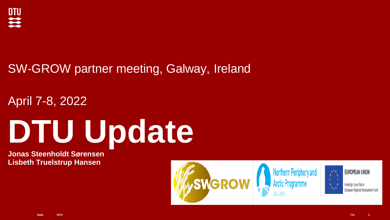

# SW-GROW partner meeting, Galway, Ireland

April 7-8, 2022

# **DTU Update**

**Jonas Steenholdt Sørensen Lisbeth Truelstrup Hansen**

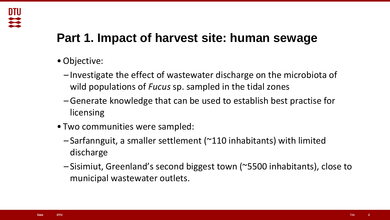# **Part 1. Impact of harvest site: human sewage**

•Objective:

**DTU** 

 $\overline{\mathbf{u}}$ 

- Investigate the effect of wastewater discharge on the microbiota of wild populations of *Fucus* sp. sampled in the tidal zones
- –Generate knowledge that can be used to establish best practise for licensing
- Two communities were sampled:
	- Sarfannguit, a smaller settlement (~110 inhabitants) with limited discharge
	- Sisimiut, Greenland's second biggest town (~5500 inhabitants), close to municipal wastewater outlets.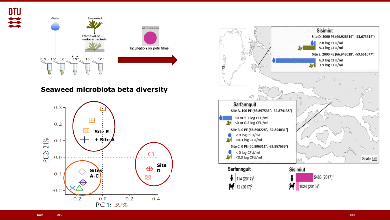

 $0.0$ 

PC 1: 39%

 $0.2$ 

 $0.4$ 



 $-0.2$ 

 $-0.2$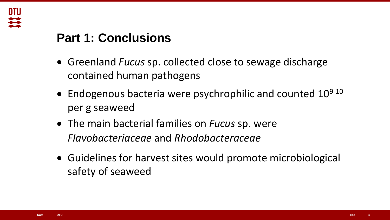

# **Part 1: Conclusions**

- Greenland *Fucus* sp. collected close to sewage discharge contained human pathogens
- Endogenous bacteria were psychrophilic and counted  $10^{9-10}$ per g seaweed
- The main bacterial families on *Fucus* sp. were *Flavobacteriaceae* and *Rhodobacteraceae*
- Guidelines for harvest sites would promote microbiological safety of seaweed

**4**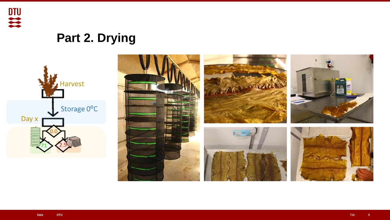

# **Part 2. Drying**



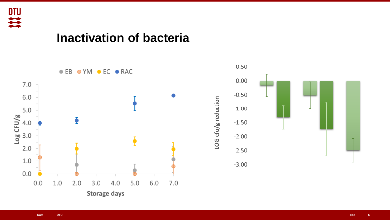

## **Inactivation of bacteria**

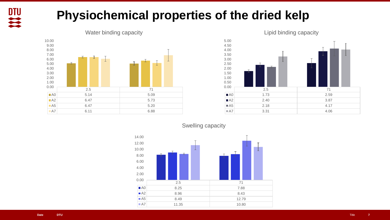

# **Physiochemical properties of the dried kelp**



#### Water binding capacity



### Swelling capacity